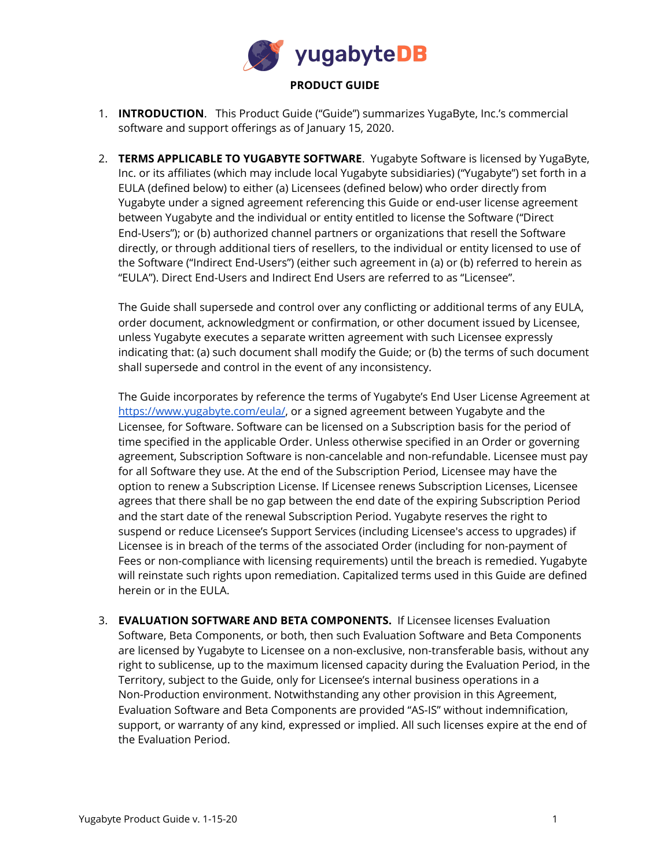

- 1. **INTRODUCTION**. This Product Guide ("Guide") summarizes YugaByte, Inc.'s commercial software and support offerings as of January 15, 2020.
- 2. **TERMS APPLICABLE TO YUGABYTE SOFTWARE**. Yugabyte Software is licensed by YugaByte, Inc. or its affiliates (which may include local Yugabyte subsidiaries) ("Yugabyte") set forth in a EULA (defined below) to either (a) Licensees (defined below) who order directly from Yugabyte under a signed agreement referencing this Guide or end-user license agreement between Yugabyte and the individual or entity entitled to license the Software ("Direct End-Users"); or (b) authorized channel partners or organizations that resell the Software directly, or through additional tiers of resellers, to the individual or entity licensed to use of the Software ("Indirect End-Users") (either such agreement in (a) or (b) referred to herein as "EULA"). Direct End-Users and Indirect End Users are referred to as "Licensee".

The Guide shall supersede and control over any conflicting or additional terms of any EULA, order document, acknowledgment or confirmation, or other document issued by Licensee, unless Yugabyte executes a separate written agreement with such Licensee expressly indicating that: (a) such document shall modify the Guide; or (b) the terms of such document shall supersede and control in the event of any inconsistency.

The Guide incorporates by reference the terms of Yugabyte's End User License Agreement at <https://www.yugabyte.com/eula/>, or a signed agreement between Yugabyte and the Licensee, for Software. Software can be licensed on a Subscription basis for the period of time specified in the applicable Order. Unless otherwise specified in an Order or governing agreement, Subscription Software is non-cancelable and non-refundable. Licensee must pay for all Software they use. At the end of the Subscription Period, Licensee may have the option to renew a Subscription License. If Licensee renews Subscription Licenses, Licensee agrees that there shall be no gap between the end date of the expiring Subscription Period and the start date of the renewal Subscription Period. Yugabyte reserves the right to suspend or reduce Licensee's Support Services (including Licensee's access to upgrades) if Licensee is in breach of the terms of the associated Order (including for non-payment of Fees or non-compliance with licensing requirements) until the breach is remedied. Yugabyte will reinstate such rights upon remediation. Capitalized terms used in this Guide are defined herein or in the EULA.

3. **EVALUATION SOFTWARE AND BETA COMPONENTS.** If Licensee licenses Evaluation Software, Beta Components, or both, then such Evaluation Software and Beta Components are licensed by Yugabyte to Licensee on a non-exclusive, non-transferable basis, without any right to sublicense, up to the maximum licensed capacity during the Evaluation Period, in the Territory, subject to the Guide, only for Licensee's internal business operations in a Non-Production environment. Notwithstanding any other provision in this Agreement, Evaluation Software and Beta Components are provided "AS-IS" without indemnification, support, or warranty of any kind, expressed or implied. All such licenses expire at the end of the Evaluation Period.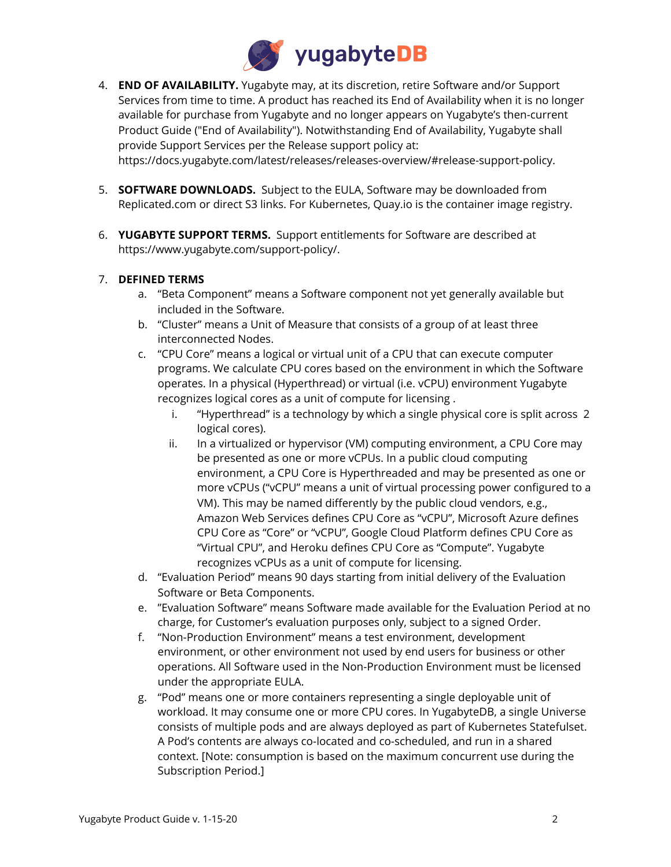

4. **END OF AVAILABILITY.** Yugabyte may, at its discretion, retire Software and/or Support Services from time to time. A product has reached its End of Availability when it is no longer available for purchase from Yugabyte and no longer appears on Yugabyte's then-current Product Guide ("End of Availability"). Notwithstanding End of Availability, Yugabyte shall provide Support Services per the Release support policy at:

https://docs.yugabyte.com/latest/releases/releases-overview/#release-support-policy.

- 5. **SOFTWARE DOWNLOADS.** Subject to the EULA, Software may be downloaded from Replicated.com or direct S3 links. For Kubernetes, Quay.io is the container image registry.
- 6. **YUGABYTE SUPPORT TERMS.** Support entitlements for Software are described at https://www.yugabyte.com/support-policy/.

## 7. **DEFINED TERMS**

- a. "Beta Component" means a Software component not yet generally available but included in the Software.
- b. "Cluster" means a Unit of Measure that consists of a group of at least three interconnected Nodes.
- c. "CPU Core" means a logical or virtual unit of a CPU that can execute computer programs. We calculate CPU cores based on the environment in which the Software operates. In a physical (Hyperthread) or virtual (i.e. vCPU) environment Yugabyte recognizes logical cores as a unit of compute for licensing .
	- i. "Hyperthread" is a technology by which a single physical core is split across 2 logical cores).
	- ii. In a virtualized or hypervisor (VM) computing environment, a CPU Core may be presented as one or more vCPUs. In a public cloud computing environment, a CPU Core is Hyperthreaded and may be presented as one or more vCPUs ("vCPU" means a unit of virtual processing power configured to a VM). This may be named differently by the public cloud vendors, e.g., Amazon Web Services defines CPU Core as "vCPU", Microsoft Azure defines CPU Core as "Core" or "vCPU", Google Cloud Platform defines CPU Core as "Virtual CPU", and Heroku defines CPU Core as "Compute". Yugabyte recognizes vCPUs as a unit of compute for licensing.
- d. "Evaluation Period" means 90 days starting from initial delivery of the Evaluation Software or Beta Components.
- e. "Evaluation Software" means Software made available for the Evaluation Period at no charge, for Customer's evaluation purposes only, subject to a signed Order.
- f. "Non-Production Environment" means a test environment, development environment, or other environment not used by end users for business or other operations. All Software used in the Non-Production Environment must be licensed under the appropriate EULA.
- g. "Pod" means one or more containers representing a single deployable unit of workload. It may consume one or more CPU cores. In YugabyteDB, a single Universe consists of multiple pods and are always deployed as part of Kubernetes Statefulset. A Pod's contents are always co-located and co-scheduled, and run in a shared context. [Note: consumption is based on the maximum concurrent use during the Subscription Period.]